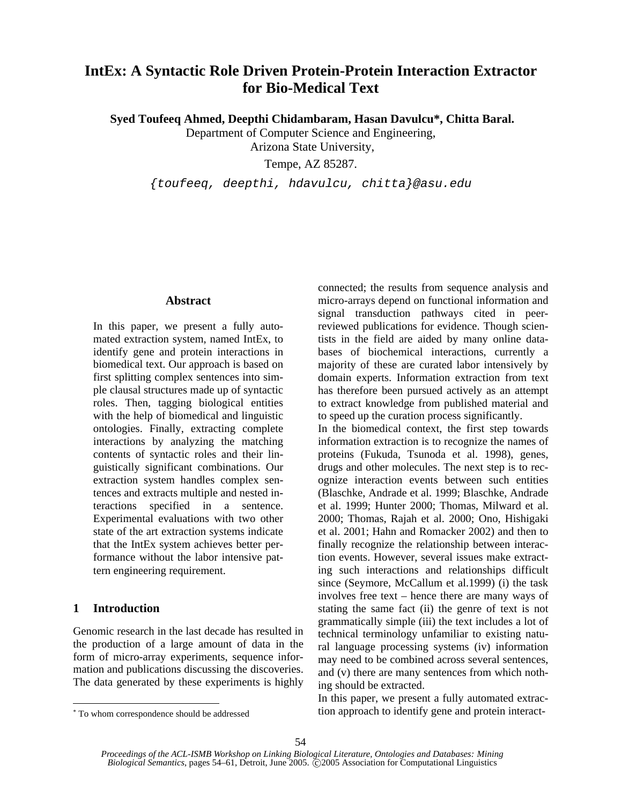# **IntEx: A Syntactic Role Driven Protein-Protein Interaction Extractor for Bio-Medical Text**

 **Syed Toufeeq Ahmed, Deepthi Chidambaram, Hasan Davulcu\*, Chitta Baral.** 

Department of Computer Science and Engineering,

Arizona State University,

Tempe, AZ 85287.

*{toufeeq, deepthi, hdavulcu, chitta}@asu.edu* 

# **Abstract**

In this paper, we present a fully automated extraction system, named IntEx, to identify gene and protein interactions in biomedical text. Our approach is based on first splitting complex sentences into simple clausal structures made up of syntactic roles. Then, tagging biological entities with the help of biomedical and linguistic ontologies. Finally, extracting complete interactions by analyzing the matching contents of syntactic roles and their linguistically significant combinations. Our extraction system handles complex sentences and extracts multiple and nested interactions specified in a sentence. Experimental evaluations with two other state of the art extraction systems indicate that the IntEx system achieves better performance without the labor intensive pattern engineering requirement.

# **1 Introduction**

 $\overline{a}$ 

Genomic research in the last decade has resulted in the production of a large amount of data in the form of micro-array experiments, sequence information and publications discussing the discoveries. The data generated by these experiments is highly connected; the results from sequence analysis and micro-arrays depend on functional information and signal transduction pathways cited in peerreviewed publications for evidence. Though scientists in the field are aided by many online databases of biochemical interactions, currently a majority of these are curated labor intensively by domain experts. Information extraction from text has therefore been pursued actively as an attempt to extract knowledge from published material and to speed up the curation process significantly.

In the biomedical context, the first step towards information extraction is to recognize the names of proteins (Fukuda, Tsunoda et al. 1998), genes, drugs and other molecules. The next step is to recognize interaction events between such entities (Blaschke, Andrade et al. 1999; Blaschke, Andrade et al. 1999; Hunter 2000; Thomas, Milward et al. 2000; Thomas, Rajah et al. 2000; Ono, Hishigaki et al. 2001; Hahn and Romacker 2002) and then to finally recognize the relationship between interaction events. However, several issues make extracting such interactions and relationships difficult since (Seymore, McCallum et al.1999) (i) the task involves free text – hence there are many ways of stating the same fact (ii) the genre of text is not grammatically simple (iii) the text includes a lot of technical terminology unfamiliar to existing natural language processing systems (iv) information may need to be combined across several sentences, and (v) there are many sentences from which nothing should be extracted.

In this paper, we present a fully automated extraction approach to identify gene and protein interact-

<sup>∗</sup> To whom correspondence should be addressed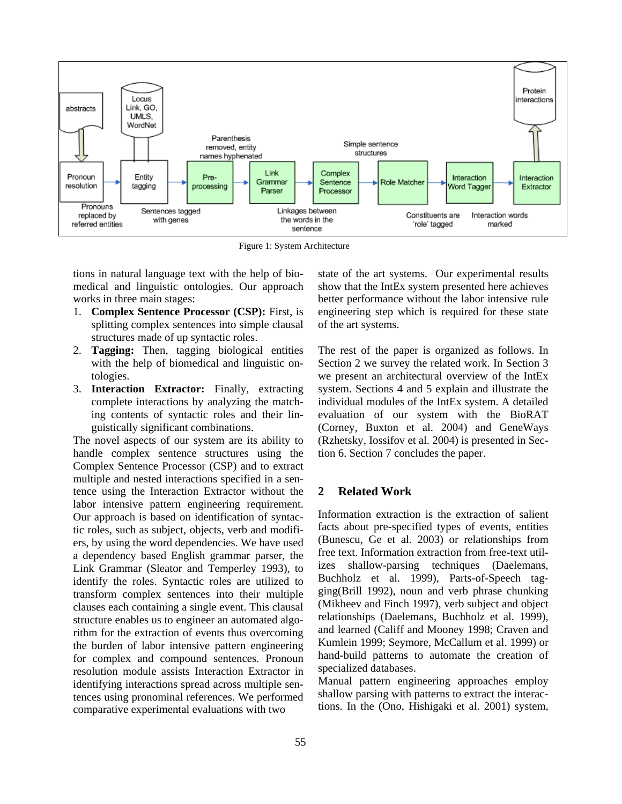

Figure 1: System Architecture

tions in natural language text with the help of biomedical and linguistic ontologies. Our approach works in three main stages:

- 1. **Complex Sentence Processor (CSP):** First, is splitting complex sentences into simple clausal structures made of up syntactic roles.
- 2. **Tagging:** Then, tagging biological entities with the help of biomedical and linguistic ontologies.
- 3. **Interaction Extractor:** Finally, extracting complete interactions by analyzing the matching contents of syntactic roles and their linguistically significant combinations.

The novel aspects of our system are its ability to handle complex sentence structures using the Complex Sentence Processor (CSP) and to extract multiple and nested interactions specified in a sentence using the Interaction Extractor without the labor intensive pattern engineering requirement. Our approach is based on identification of syntactic roles, such as subject, objects, verb and modifiers, by using the word dependencies. We have used a dependency based English grammar parser, the Link Grammar (Sleator and Temperley 1993), to identify the roles. Syntactic roles are utilized to transform complex sentences into their multiple clauses each containing a single event. This clausal structure enables us to engineer an automated algorithm for the extraction of events thus overcoming the burden of labor intensive pattern engineering for complex and compound sentences. Pronoun resolution module assists Interaction Extractor in identifying interactions spread across multiple sentences using pronominal references. We performed comparative experimental evaluations with two

state of the art systems. Our experimental results show that the IntEx system presented here achieves better performance without the labor intensive rule engineering step which is required for these state of the art systems.

The rest of the paper is organized as follows. In Section 2 we survey the related work. In Section 3 we present an architectural overview of the IntEx system. Sections 4 and 5 explain and illustrate the individual modules of the IntEx system. A detailed evaluation of our system with the BioRAT (Corney, Buxton et al. 2004) and GeneWays (Rzhetsky, Iossifov et al. 2004) is presented in Section 6. Section 7 concludes the paper.

# **2 Related Work**

Information extraction is the extraction of salient facts about pre-specified types of events, entities (Bunescu, Ge et al. 2003) or relationships from free text. Information extraction from free-text utilizes shallow-parsing techniques (Daelemans, Buchholz et al. 1999), Parts-of-Speech tagging(Brill 1992), noun and verb phrase chunking (Mikheev and Finch 1997), verb subject and object relationships (Daelemans, Buchholz et al. 1999), and learned (Califf and Mooney 1998; Craven and Kumlein 1999; Seymore, McCallum et al. 1999) or hand-build patterns to automate the creation of specialized databases.

Manual pattern engineering approaches employ shallow parsing with patterns to extract the interactions. In the (Ono, Hishigaki et al. 2001) system,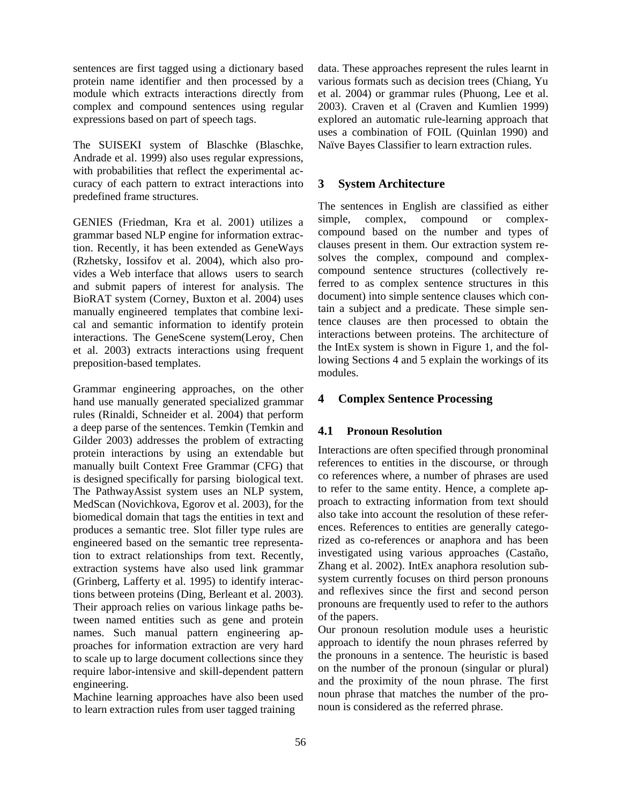sentences are first tagged using a dictionary based protein name identifier and then processed by a module which extracts interactions directly from complex and compound sentences using regular expressions based on part of speech tags.

The SUISEKI system of Blaschke (Blaschke, Andrade et al. 1999) also uses regular expressions, with probabilities that reflect the experimental accuracy of each pattern to extract interactions into predefined frame structures.

GENIES (Friedman, Kra et al. 2001) utilizes a grammar based NLP engine for information extraction. Recently, it has been extended as GeneWays (Rzhetsky, Iossifov et al. 2004), which also provides a Web interface that allows users to search and submit papers of interest for analysis. The BioRAT system (Corney, Buxton et al. 2004) uses manually engineered templates that combine lexical and semantic information to identify protein interactions. The GeneScene system(Leroy, Chen et al. 2003) extracts interactions using frequent preposition-based templates.

Grammar engineering approaches, on the other hand use manually generated specialized grammar rules (Rinaldi, Schneider et al. 2004) that perform a deep parse of the sentences. Temkin (Temkin and Gilder 2003) addresses the problem of extracting protein interactions by using an extendable but manually built Context Free Grammar (CFG) that is designed specifically for parsing biological text. The PathwayAssist system uses an NLP system, MedScan (Novichkova, Egorov et al. 2003), for the biomedical domain that tags the entities in text and produces a semantic tree. Slot filler type rules are engineered based on the semantic tree representation to extract relationships from text. Recently, extraction systems have also used link grammar (Grinberg, Lafferty et al. 1995) to identify interactions between proteins (Ding, Berleant et al. 2003). Their approach relies on various linkage paths between named entities such as gene and protein names. Such manual pattern engineering approaches for information extraction are very hard to scale up to large document collections since they require labor-intensive and skill-dependent pattern engineering.

Machine learning approaches have also been used to learn extraction rules from user tagged training

data. These approaches represent the rules learnt in various formats such as decision trees (Chiang, Yu et al. 2004) or grammar rules (Phuong, Lee et al. 2003). Craven et al (Craven and Kumlien 1999) explored an automatic rule-learning approach that uses a combination of FOIL (Quinlan 1990) and Naïve Bayes Classifier to learn extraction rules.

# **3 System Architecture**

The sentences in English are classified as either simple, complex, compound or complexcompound based on the number and types of clauses present in them. Our extraction system resolves the complex, compound and complexcompound sentence structures (collectively referred to as complex sentence structures in this document) into simple sentence clauses which contain a subject and a predicate. These simple sentence clauses are then processed to obtain the interactions between proteins. The architecture of the IntEx system is shown in Figure 1, and the following Sections 4 and 5 explain the workings of its modules.

# **4 Complex Sentence Processing**

# **4.1 Pronoun Resolution**

Interactions are often specified through pronominal references to entities in the discourse, or through co references where, a number of phrases are used to refer to the same entity. Hence, a complete approach to extracting information from text should also take into account the resolution of these references. References to entities are generally categorized as co-references or anaphora and has been investigated using various approaches (Castaño, Zhang et al. 2002). IntEx anaphora resolution subsystem currently focuses on third person pronouns and reflexives since the first and second person pronouns are frequently used to refer to the authors of the papers.

Our pronoun resolution module uses a heuristic approach to identify the noun phrases referred by the pronouns in a sentence. The heuristic is based on the number of the pronoun (singular or plural) and the proximity of the noun phrase. The first noun phrase that matches the number of the pronoun is considered as the referred phrase.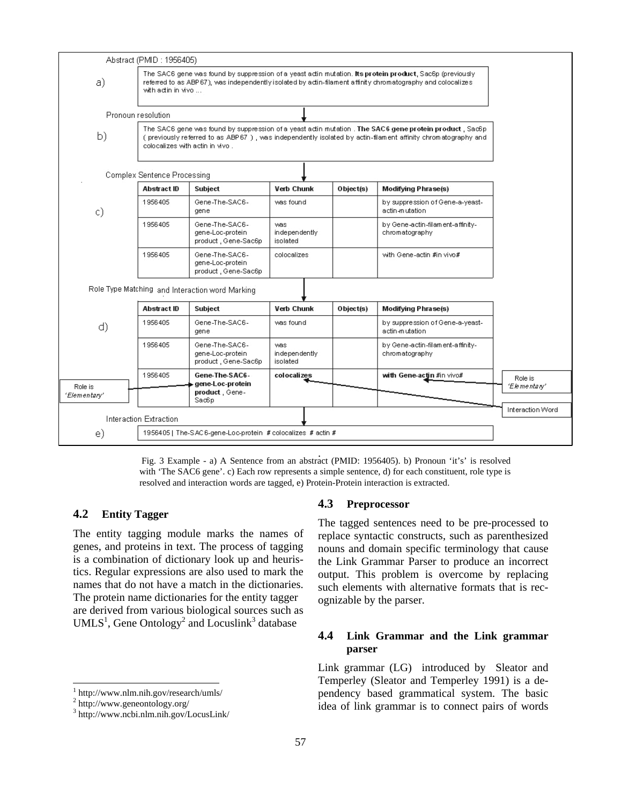

. Fig. 3 Example - a) A Sentence from an abstract (PMID: 1956405). b) Pronoun 'it's' is resolved with 'The SAC6 gene'. c) Each row represents a simple sentence, d) for each constituent, role type is resolved and interaction words are tagged, e) Protein-Protein interaction is extracted.

# **4.2 Entity Tagger**

The entity tagging module marks the names of genes, and proteins in text. The process of tagging is a combination of dictionary look up and heuristics. Regular expressions are also used to mark the names that do not have a match in the dictionaries. The protein name dictionaries for the entity tagger are derived from various biological sources such as  $UMLS<sup>1</sup>$ , Gene Ontology<sup>2</sup> and Locuslink<sup>3</sup> database

# **4.3 Preprocessor**

The tagged sentences need to be pre-processed to replace syntactic constructs, such as parenthesized nouns and domain specific terminology that cause the Link Grammar Parser to produce an incorrect output. This problem is overcome by replacing such elements with alternative formats that is recognizable by the parser.

### **4.4 Link Grammar and the Link grammar parser**

Link grammar (LG) introduced by Sleator and Temperley (Sleator and Temperley 1991) is a dependency based grammatical system. The basic idea of link grammar is to connect pairs of words

 $\frac{1}{1}$ http://www.nlm.nih.gov/research/umls/ 2

 $2$  http://www.geneontology.org/

http://www.ncbi.nlm.nih.gov/LocusLink/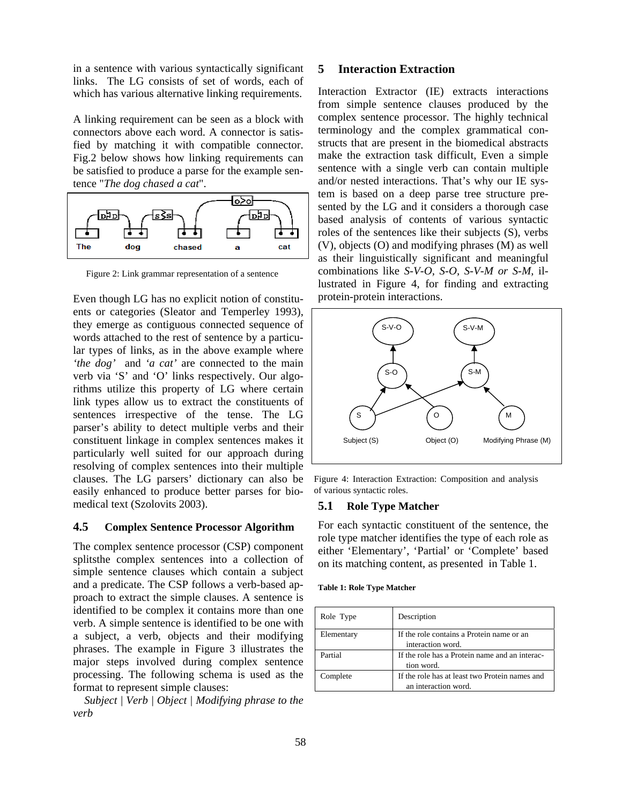in a sentence with various syntactically significant links. The LG consists of set of words, each of which has various alternative linking requirements.

A linking requirement can be seen as a block with connectors above each word. A connector is satisfied by matching it with compatible connector. Fig.2 below shows how linking requirements can be satisfied to produce a parse for the example sentence "*The dog chased a cat*".



Figure 2: Link grammar representation of a sentence

Even though LG has no explicit notion of constituents or categories (Sleator and Temperley 1993), they emerge as contiguous connected sequence of words attached to the rest of sentence by a particular types of links, as in the above example where *'the dog'* and *'a cat'* are connected to the main verb via 'S' and 'O' links respectively. Our algorithms utilize this property of LG where certain link types allow us to extract the constituents of sentences irrespective of the tense. The LG parser's ability to detect multiple verbs and their constituent linkage in complex sentences makes it particularly well suited for our approach during resolving of complex sentences into their multiple clauses. The LG parsers' dictionary can also be easily enhanced to produce better parses for biomedical text (Szolovits 2003).

#### **4.5 Complex Sentence Processor Algorithm**

The complex sentence processor (CSP) component splitsthe complex sentences into a collection of simple sentence clauses which contain a subject and a predicate. The CSP follows a verb-based approach to extract the simple clauses. A sentence is identified to be complex it contains more than one verb. A simple sentence is identified to be one with a subject, a verb, objects and their modifying phrases. The example in Figure 3 illustrates the major steps involved during complex sentence processing. The following schema is used as the format to represent simple clauses:

*Subject | Verb | Object | Modifying phrase to the verb* 

# **5 Interaction Extraction**

Interaction Extractor (IE) extracts interactions from simple sentence clauses produced by the complex sentence processor. The highly technical terminology and the complex grammatical constructs that are present in the biomedical abstracts make the extraction task difficult, Even a simple sentence with a single verb can contain multiple and/or nested interactions. That's why our IE system is based on a deep parse tree structure presented by the LG and it considers a thorough case based analysis of contents of various syntactic roles of the sentences like their subjects (S), verbs (V), objects (O) and modifying phrases (M) as well as their linguistically significant and meaningful combinations like *S-V-O, S-O, S-V-M or S-M,* illustrated in Figure 4, for finding and extracting protein-protein interactions.



Figure 4: Interaction Extraction: Composition and analysis of various syntactic roles.

#### **5.1 Role Type Matcher**

For each syntactic constituent of the sentence, the role type matcher identifies the type of each role as either 'Elementary', 'Partial' or 'Complete' based on its matching content, as presented in Table 1.

| Role Type  | Description                                                            |
|------------|------------------------------------------------------------------------|
| Elementary | If the role contains a Protein name or an<br>interaction word.         |
| Partial    | If the role has a Protein name and an interac-<br>tion word.           |
| Complete   | If the role has at least two Protein names and<br>an interaction word. |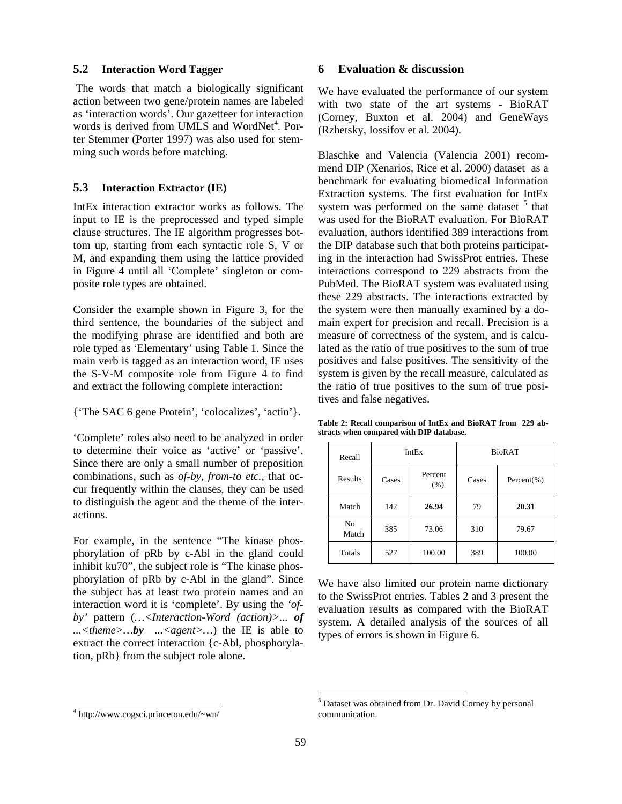#### **5.2 Interaction Word Tagger**

The words that match a biologically significant action between two gene/protein names are labeled as 'interaction words'. Our gazetteer for interaction words is derived from UMLS and WordNet<sup>4</sup>. Porter Stemmer (Porter 1997) was also used for stemming such words before matching.

#### **5.3 Interaction Extractor (IE)**

IntEx interaction extractor works as follows. The input to IE is the preprocessed and typed simple clause structures. The IE algorithm progresses bottom up, starting from each syntactic role S, V or M, and expanding them using the lattice provided in Figure 4 until all 'Complete' singleton or composite role types are obtained.

Consider the example shown in Figure 3, for the third sentence, the boundaries of the subject and the modifying phrase are identified and both are role typed as 'Elementary' using Table 1. Since the main verb is tagged as an interaction word, IE uses the S-V-M composite role from Figure 4 to find and extract the following complete interaction:

{'The SAC 6 gene Protein', 'colocalizes', 'actin'}.

'Complete' roles also need to be analyzed in order to determine their voice as 'active' or 'passive'. Since there are only a small number of preposition combinations, such as *of-by, from-to etc.,* that occur frequently within the clauses, they can be used to distinguish the agent and the theme of the interactions.

For example, in the sentence "The kinase phosphorylation of pRb by c-Abl in the gland could inhibit ku70", the subject role is "The kinase phosphorylation of pRb by c-Abl in the gland". Since the subject has at least two protein names and an interaction word it is 'complete'. By using the *'ofby'* pattern (*…<Interaction-Word (action)>... of*  ... <*theme>...by* ... <*agent>...*) the IE is able to extract the correct interaction {c-Abl, phosphorylation, pRb} from the subject role alone.

### **6 Evaluation & discussion**

We have evaluated the performance of our system with two state of the art systems - BioRAT (Corney, Buxton et al. 2004) and GeneWays (Rzhetsky, Iossifov et al. 2004).

Blaschke and Valencia (Valencia 2001) recommend DIP (Xenarios, Rice et al. 2000) dataset as a benchmark for evaluating biomedical Information Extraction systems. The first evaluation for IntEx system was performed on the same dataset  $5$  that was used for the BioRAT evaluation. For BioRAT evaluation, authors identified 389 interactions from the DIP database such that both proteins participating in the interaction had SwissProt entries. These interactions correspond to 229 abstracts from the PubMed. The BioRAT system was evaluated using these 229 abstracts. The interactions extracted by the system were then manually examined by a domain expert for precision and recall. Precision is a measure of correctness of the system, and is calculated as the ratio of true positives to the sum of true positives and false positives. The sensitivity of the system is given by the recall measure, calculated as the ratio of true positives to the sum of true positives and false negatives.

**Table 2: Recall comparison of IntEx and BioRAT from 229 abstracts when compared with DIP database.** 

| Recall<br>Results       | IntEx |                 | <b>BioRAT</b> |                 |
|-------------------------|-------|-----------------|---------------|-----------------|
|                         | Cases | Percent<br>(% ) | Cases         | Percent $(\% )$ |
| Match                   | 142   | 26.94           | 79            | 20.31           |
| N <sub>0</sub><br>Match | 385   | 73.06           | 310           | 79.67           |
| Totals                  | 527   | 100.00          | 389           | 100.00          |

We have also limited our protein name dictionary to the SwissProt entries. Tables 2 and 3 present the evaluation results as compared with the BioRAT system. A detailed analysis of the sources of all types of errors is shown in Figure 6.

 $\overline{a}$ 

 $\overline{a}$ 

<sup>4</sup> http://www.cogsci.princeton.edu/~wn/

<sup>5</sup> Dataset was obtained from Dr. David Corney by personal communication.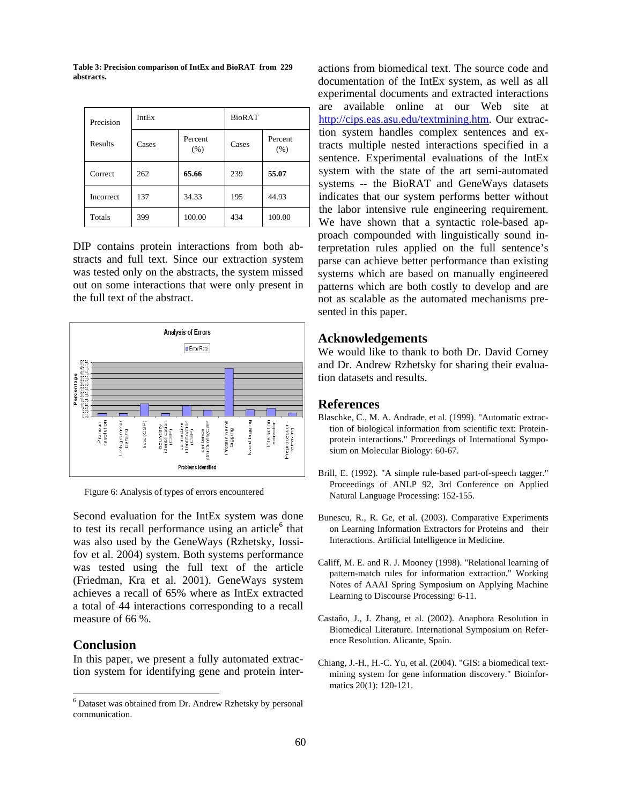**Table 3: Precision comparison of IntEx and BioRAT from 229 abstracts.** 

| Precision        | IntEx |                 | <b>BioRAT</b> |                 |
|------------------|-------|-----------------|---------------|-----------------|
| Results          | Cases | Percent<br>(% ) | Cases         | Percent<br>(% ) |
| Correct          | 262   | 65.66           | 239           | 55.07           |
| <b>Incorrect</b> | 137   | 34.33           | 195           | 44.93           |
| Totals           | 399   | 100.00          | 434           | 100.00          |

DIP contains protein interactions from both abstracts and full text. Since our extraction system was tested only on the abstracts, the system missed out on some interactions that were only present in the full text of the abstract.



Second evaluation for the IntEx system was done to test its recall performance using an article $6$  that was also used by the GeneWays (Rzhetsky, Iossifov et al. 2004) system. Both systems performance was tested using the full text of the article (Friedman, Kra et al. 2001). GeneWays system achieves a recall of 65% where as IntEx extracted a total of 44 interactions corresponding to a recall measure of 66 %.

# **Conclusion**

In this paper, we present a fully automated extraction system for identifying gene and protein interactions from biomedical text. The source code and documentation of the IntEx system, as well as all experimental documents and extracted interactions are available online at our Web site at http://cips.eas.asu.edu/textmining.htm. Our extraction system handles complex sentences and extracts multiple nested interactions specified in a sentence. Experimental evaluations of the IntEx system with the state of the art semi-automated systems -- the BioRAT and GeneWays datasets indicates that our system performs better without the labor intensive rule engineering requirement. We have shown that a syntactic role-based approach compounded with linguistically sound interpretation rules applied on the full sentence's parse can achieve better performance than existing systems which are based on manually engineered patterns which are both costly to develop and are not as scalable as the automated mechanisms presented in this paper.

#### **Acknowledgements**

We would like to thank to both Dr. David Corney and Dr. Andrew Rzhetsky for sharing their evaluation datasets and results.

# **References**

- Blaschke, C., M. A. Andrade, et al. (1999). "Automatic extraction of biological information from scientific text: Proteinprotein interactions." Proceedings of International Symposium on Molecular Biology: 60-67.
- Brill, E. (1992). "A simple rule-based part-of-speech tagger." Proceedings of ANLP 92, 3rd Conference on Applied Figure 6: Analysis of types of errors encountered<br>Natural Language Processing: 152-155.
	- Bunescu, R., R. Ge, et al. (2003). Comparative Experiments on Learning Information Extractors for Proteins and their Interactions. Artificial Intelligence in Medicine.
	- Califf, M. E. and R. J. Mooney (1998). "Relational learning of pattern-match rules for information extraction." Working Notes of AAAI Spring Symposium on Applying Machine Learning to Discourse Processing: 6-11.
	- Castaño, J., J. Zhang, et al. (2002). Anaphora Resolution in Biomedical Literature. International Symposium on Reference Resolution. Alicante, Spain.
	- Chiang, J.-H., H.-C. Yu, et al. (2004). "GIS: a biomedical textmining system for gene information discovery." Bioinformatics 20(1): 120-121.

 <sup>6</sup> Dataset was obtained from Dr. Andrew Rzhetsky by personal communication.